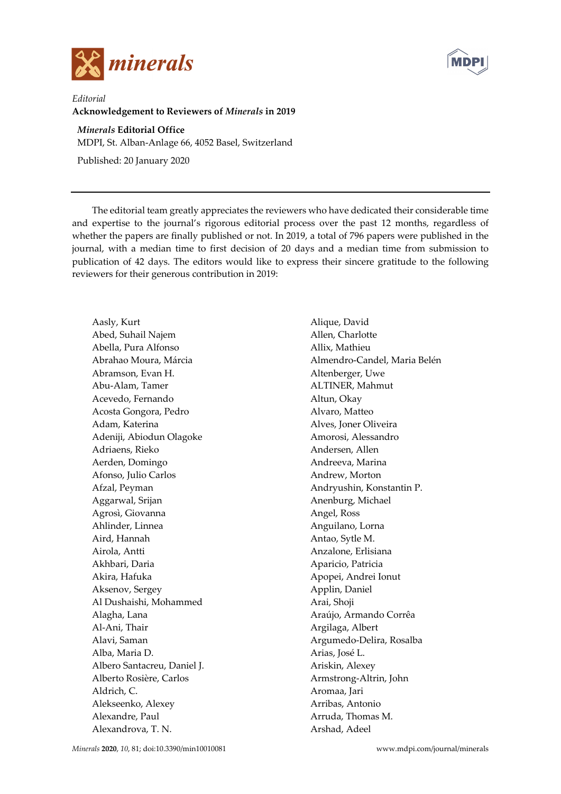



*Editorial*  **Acknowledgement to Reviewers of** *Minerals* **in 2019** 

## *Minerals* **Editorial Office**

MDPI, St. Alban-Anlage 66, 4052 Basel, Switzerland

Published: 20 January 2020

The editorial team greatly appreciates the reviewers who have dedicated their considerable time and expertise to the journal's rigorous editorial process over the past 12 months, regardless of whether the papers are finally published or not. In 2019, a total of 796 papers were published in the journal, with a median time to first decision of 20 days and a median time from submission to publication of 42 days. The editors would like to express their sincere gratitude to the following reviewers for their generous contribution in 2019:

Aasly, Kurt Abed, Suhail Najem Abella, Pura Alfonso Abrahao Moura, Márcia Abramson, Evan H. Abu-Alam, Tamer Acevedo, Fernando Acosta Gongora, Pedro Adam, Katerina Adeniji, Abiodun Olagoke Adriaens, Rieko Aerden, Domingo Afonso, Julio Carlos Afzal, Peyman Aggarwal, Srijan Agrosì, Giovanna Ahlinder, Linnea Aird, Hannah Airola, Antti Akhbari, Daria Akira, Hafuka Aksenov, Sergey Al Dushaishi, Mohammed Alagha, Lana Al-Ani, Thair Alavi, Saman Alba, Maria D. Albero Santacreu, Daniel J. Alberto Rosière, Carlos Aldrich, C. Alekseenko, Alexey Alexandre, Paul Alexandrova, T. N.

Alique, David Allen, Charlotte Allix, Mathieu Almendro-Candel, Maria Belén Altenberger, Uwe ALTINER, Mahmut Altun, Okay Alvaro, Matteo Alves, Joner Oliveira Amorosi, Alessandro Andersen, Allen Andreeva, Marina Andrew, Morton Andryushin, Konstantin P. Anenburg, Michael Angel, Ross Anguilano, Lorna Antao, Sytle M. Anzalone, Erlisiana Aparicio, Patricia Apopei, Andrei Ionut Applin, Daniel Arai, Shoji Araújo, Armando Corrêa Argilaga, Albert Argumedo-Delira, Rosalba Arias, José L. Ariskin, Alexey Armstrong-Altrin, John Aromaa, Jari Arribas, Antonio Arruda, Thomas M. Arshad, Adeel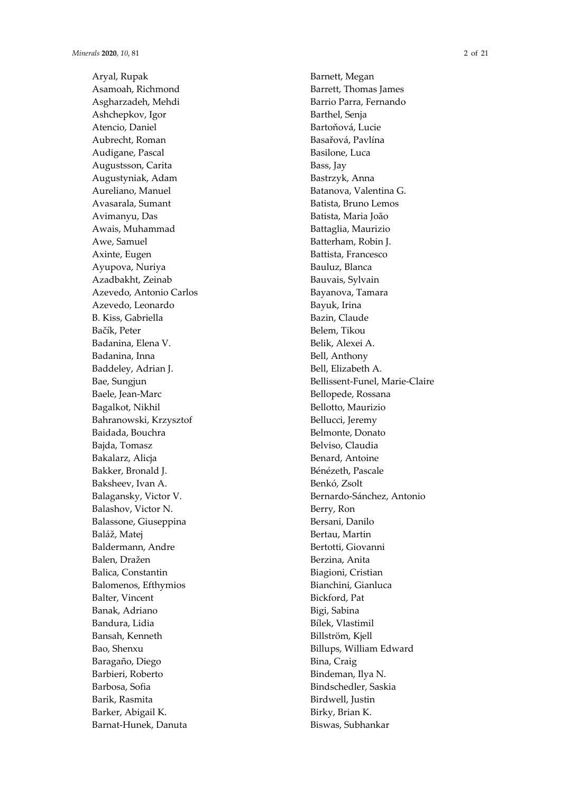Aryal, Rupak Asamoah, Richmond Asgharzadeh, Mehdi Ashchepkov, Igor Atencio, Daniel Aubrecht, Roman Audigane, Pascal Augustsson, Carita Augustyniak, Adam Aureliano, Manuel Avasarala, Sumant Avimanyu, Das Awais, Muhammad Awe, Samuel Axinte, Eugen Ayupova, Nuriya Azadbakht, Zeinab Azevedo, Antonio Carlos Azevedo, Leonardo B. Kiss, Gabriella Ba čík, Peter Badanina, Elena V. Badanina, Inna Baddeley, Adrian J. Bae, Sungjun Baele, Jean-Marc Bagalkot, Nikhil Bahranowski, Krzysztof Baidada, Bouchra Bajda, Tomasz Bakalarz, Alicja Bakker, Bronald J. Baksheev, Ivan A. Balagansky, Victor V. Balashov, Victor N. Balassone, Giuseppina Baláž, Matej Baldermann, Andre Balen, Dražen Balica, Constantin Balomenos, Efthymios Balter, Vincent Banak, Adriano Bandura, Lidia Bansah, Kenneth Bao, Shenxu Baragaño, Diego Barbieri, Roberto Barbosa, Sofia Barik, Rasmita Barker, Abigail K. Barnat-Hunek, Danuta

Barnett, Megan Barrett, Thomas James Barrio Parra, Fernando Barthel, Senja Barto ňová, Lucie Basa řová, Pavlína Basilone, Luca Bass, Jay Bastrzyk, Anna Batanova, Valentina G. Batista, Bruno Lemos Batista, Maria João Battaglia, Maurizio Batterham, Robin J. Battista, Francesco Bauluz, Blanca Bauvais, Sylvain Bayanova, Tamara Bayuk, Irina Bazin, Claude Belem, Tikou Belik, Alexei A. Bell, Anthony Bell, Elizabeth A. Bellissent-Funel, Marie-Claire Bellopede, Rossana Bellotto, Maurizio Bellucci, Jeremy Belmonte, Donato Belviso, Claudia Benard, Antoine Bénézeth, Pascale Benkó, Zsolt Bernardo-Sánchez, Antonio Berry, Ron Bersani, Danilo Bertau, Martin Bertotti, Giovanni Berzina, Anita Biagioni, Cristian Bianchini, Gianluca Bickford, Pat Bigi, Sabina Bílek, Vlastimil Billström, Kjell Billups, William Edward Bina, Craig Bindeman, Ilya N. Bindschedler, Saskia Birdwell, Justin Birky, Brian K. Biswas, Subhankar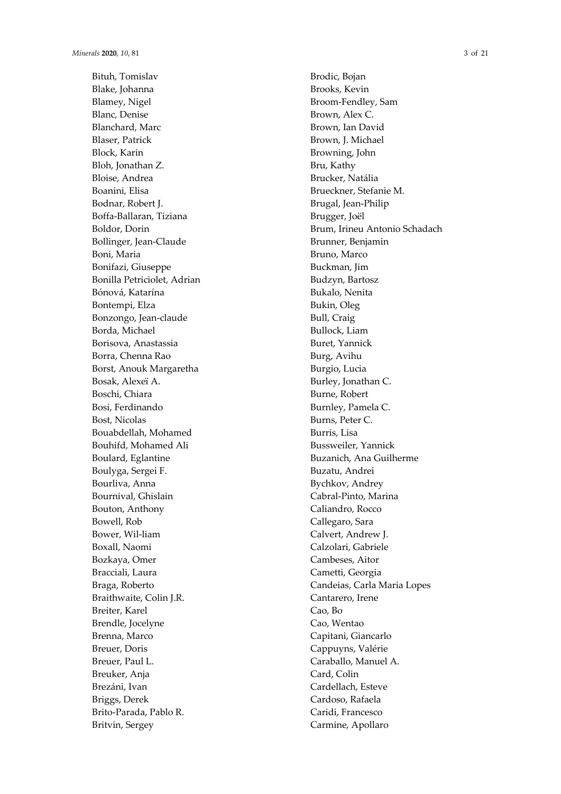Bituh, Tomislav Blake, Johanna Blamey, Nigel Blanc, Denise Blanchard, Marc Blaser, Patrick Block, Karin Bloh, Jonathan Z. Bloise, Andrea Boanini, Elisa Bodnar, Robert J. Boffa-Ballaran, Tiziana Boldor, Dorin Bollinger, Jean-Claude Boni, Maria Bonifazi, Giuseppe Bonilla Petriciolet, Adrian Bónová, Katarína Bontempi, Elza Bonzongo, Jean-claude Borda, Michael Borisova, Anastassia Borra, Chenna Rao Borst, Anouk Margaretha Bosak, Alexeï A. Boschi, Chiara Bosi, Ferdinando Bost, Nicolas Bouabdellah, Mohamed Bouhifd, Mohamed Ali Boulard, Eglantine Boulyga, Sergei F. Bourliva, Anna Bournival, Ghislain Bouton, Anthony Bowell, Rob Bower, Wil-liam Boxall, Naomi Bozkaya, Omer Bracciali, Laura Braga, Roberto Braithwaite, Colin J.R. Breiter, Karel Brendle, Jocelyne Brenna, Marco Breuer, Doris Breuer, Paul L. Breuker, Anja Brezáni, Ivan Briggs, Derek Brito-Parada, Pablo R. Britvin, Sergey

Brodic, Bojan Brooks, Kevin Broom-Fendley, Sam Brown, Alex C. Brown, Ian David Brown, J. Michael Browning, John Bru, Kathy Brucker, Natália Brueckner, Stefanie M. Brugal, Jean-Philip Brugger, Joël Brum, Irineu Antonio Schadach Brunner, Benjamin Bruno, Marco Buckman, Jim Budzyn, Bartosz Bukalo, Nenita Bukin, Oleg Bull, Craig Bullock, Liam Buret, Yannick Burg, Avihu Burgio, Lucia Burley, Jonathan C. Burne, Robert Burnley, Pamela C. Burns, Peter C. Burris, Lisa Bussweiler, Yannick Buzanich, Ana Guilherme Buzatu, Andrei Bychkov, Andrey Cabral-Pinto, Marina Caliandro, Rocco Callegaro, Sara Calvert, Andrew J. Calzolari, Gabriele Cambeses, Aitor Cametti, Georgia Candeias, Carla Maria Lopes Cantarero, Irene Cao, Bo Cao, Wentao Capitani, Giancarlo Cappuyns, Valérie Caraballo, Manuel A. Card, Colin Cardellach, Esteve Cardoso, Rafaela Caridi, Francesco Carmine, Apollaro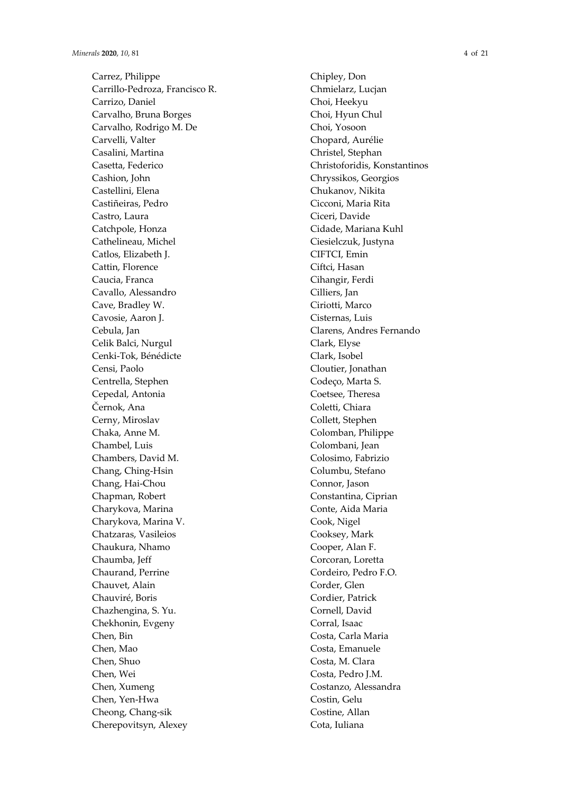Carrez, Philippe Carrillo-Pedroza, Francisco R. Carrizo, Daniel Carvalho, Bruna Borges Carvalho, Rodrigo M. De Carvelli, Valter Casalini, Martina Casetta, Federico Cashion, John Castellini, Elena Castiñeiras, Pedro Castro, Laura Catchpole, Honza Cathelineau, Michel Catlos, Elizabeth J. Cattin, Florence Caucia, Franca Cavallo, Alessandro Cave, Bradley W. Cavosie, Aaron J. Cebula, Jan Celik Balci, Nurgul Cenki-Tok, Bénédicte Censi, Paolo Centrella, Stephen Cepedal, Antonia Černok, Ana Cerny, Miroslav Chaka, Anne M. Chambel, Luis Chambers, David M. Chang, Ching-Hsin Chang, Hai-Chou Chapman, Robert Charykova, Marina Charykova, Marina V. Chatzaras, Vasileios Chaukura, Nhamo Chaumba, Jeff Chaurand, Perrine Chauvet, Alain Chauviré, Boris Chazhengina, S. Yu. Chekhonin, Evgeny Chen, Bin Chen, Mao Chen, Shuo Chen, Wei Chen, Xumeng Chen, Yen-Hwa Cheong, Chang-sik Cherepovitsyn, Alexey

Chipley, Don Chmielarz, Lucjan Choi, Heekyu Choi, Hyun Chul Choi, Yosoon Chopard, Aurélie Christel, Stephan Christoforidis, Konstantinos Chryssikos, Georgios Chukanov, Nikita Cicconi, Maria Rita Ciceri, Davide Cidade, Mariana Kuhl Ciesielczuk, Justyna CIFTCI, Emin Ciftci, Hasan Cihangir, Ferdi Cilliers, Jan Ciriotti, Marco Cisternas, Luis Clarens, Andres Fernando Clark, Elyse Clark, Isobel Cloutier, Jonathan Codeço, Marta S. Coetsee, Theresa Coletti, Chiara Collett, Stephen Colomban, Philippe Colombani, Jean Colosimo, Fabrizio Columbu, Stefano Connor, Jason Constantina, Ciprian Conte, Aida Maria Cook, Nigel Cooksey, Mark Cooper, Alan F. Corcoran, Loretta Cordeiro, Pedro F.O. Corder, Glen Cordier, Patrick Cornell, David Corral, Isaac Costa, Carla Maria Costa, Emanuele Costa, M. Clara Costa, Pedro J.M. Costanzo, Alessandra Costin, Gelu Costine, Allan Cota, Iuliana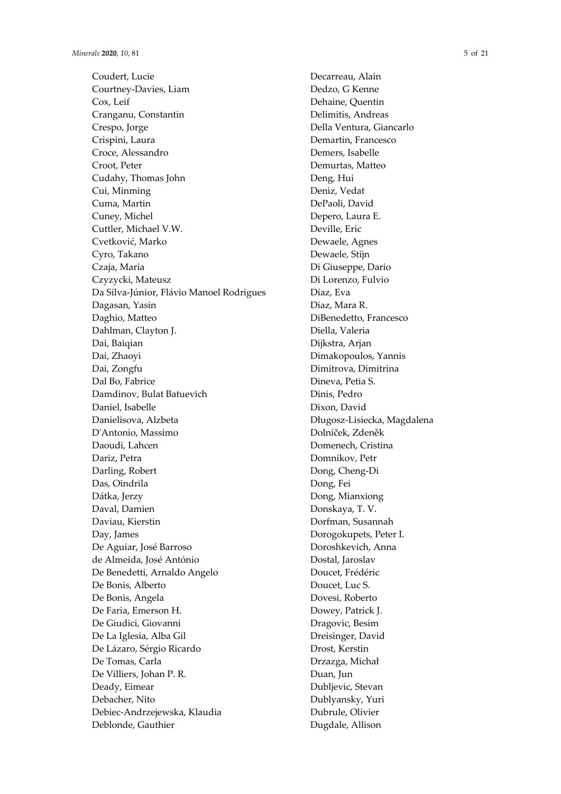Coudert, Lucie Courtney-Davies, Liam Cox, Leif Cranganu, Constantin Crespo, Jorge Crispini, Laura Croce, Alessandro Croot, Peter Cudahy, Thomas John Cui, Minming Cuma, Martin Cuney, Michel Cuttler, Michael V.W. Cvetković, Marko Cyro, Takano Czaja, Maria Czyzycki, Mateusz Da Silva-Júnior, Flávio Manoel Rodrigues Dagasan, Yasin Daghio, Matteo Dahlman, Clayton J. Dai, Baiqian Dai, Zhaoyi Dai, Zongfu Dal Bo, Fabrice Damdinov, Bulat Batuevich Daniel, Isabelle Danielisova, Alzbeta D'Antonio, Massimo Daoudi, Lahcen Dariz, Petra Darling, Robert Das, Oindrila Dátka, Jerzy Daval, Damien Daviau, Kierstin Day, James De Aguiar, José Barroso de Almeida, José António De Benedetti, Arnaldo Angelo De Bonis, Alberto De Bonis, Angela De Faria, Emerson H. De Giudici, Giovanni De La Iglesia, Alba Gil De Lázaro, Sérgio Ricardo De Tomas, Carla De Villiers, Johan P. R. Deady, Eimear Debacher, Nito Debiec-Andrzejewska, Klaudia Deblonde, Gauthier

Decarreau, Alain Dedzo, G Kenne Dehaine, Quentin Delimitis, Andreas Della Ventura, Giancarlo Demartin, Francesco Demers, Isabelle Demurtas, Matteo Deng, Hui Deniz, Vedat DePaoli, David Depero, Laura E. Deville, Eric Dewaele, Agnes Dewaele, Stijn Di Giuseppe, Dario Di Lorenzo, Fulvio Díaz, Eva Diaz, Mara R. DiBenedetto, Francesco Diella, Valeria Dijkstra, Arjan Dimakopoulos, Yannis Dimitrova, Dimitrina Dineva, Petia S. Dinis, Pedro Dixon, David Długosz-Lisiecka, Magdalena Dolníček, Zdeněk Domenech, Cristina Domnikov, Petr Dong, Cheng-Di Dong, Fei Dong, Mianxiong Donskaya, T. V. Dorfman, Susannah Dorogokupets, Peter I. Doroshkevich, Anna Dostal, Jaroslav Doucet, Frédéric Doucet, Luc S. Dovesi, Roberto Dowey, Patrick J. Dragovic, Besim Dreisinger, David Drost, Kerstin Drzazga, Michał Duan, Jun Dubljevic, Stevan Dublyansky, Yuri Dubrule, Olivier

Dugdale, Allison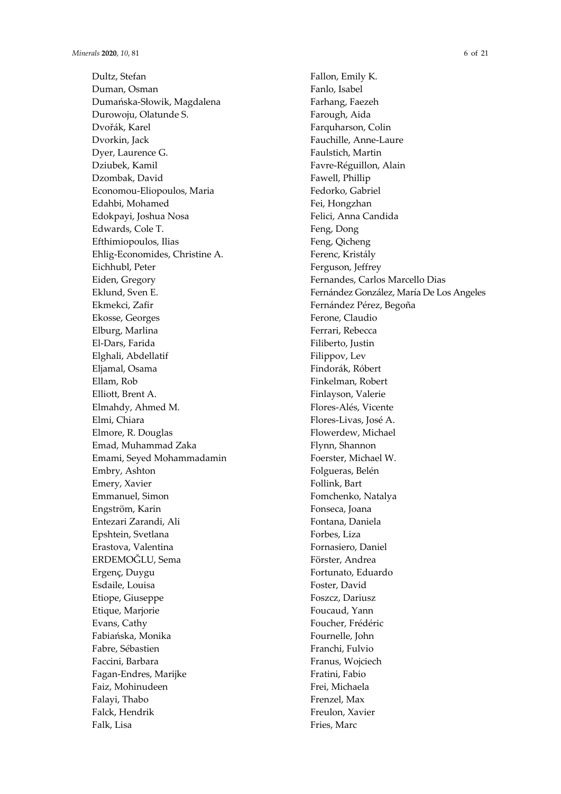Dultz, Stefan Duman, Osman Dumańska-Słowik, Magdalena Durowoju, Olatunde S. Dvořák, Karel Dvorkin, Jack Dyer, Laurence G. Dziubek, Kamil Dzombak, David Economou-Eliopoulos, Maria Edahbi, Mohamed Edokpayi, Joshua Nosa Edwards, Cole T. Efthimiopoulos, Ilias Ehlig-Economides, Christine A. Eichhubl, Peter Eiden, Gregory Eklund, Sven E. Ekmekci, Zafir Ekosse, Georges Elburg, Marlina El-Dars, Farida Elghali, Abdellatif Eljamal, Osama Ellam, Rob Elliott, Brent A. Elmahdy, Ahmed M. Elmi, Chiara Elmore, R. Douglas Emad, Muhammad Zaka Emami, Seyed Mohammadamin Embry, Ashton Emery, Xavier Emmanuel, Simon Engström, Karin Entezari Zarandi, Ali Epshtein, Svetlana Erastova, Valentina ERDEMOĞLU, Sema Ergenç, Duygu Esdaile, Louisa Etiope, Giuseppe Etique, Marjorie Evans, Cathy Fabiańska, Monika Fabre, Sébastien Faccini, Barbara Fagan-Endres, Marijke Faiz, Mohinudeen Falayi, Thabo Falck, Hendrik Falk, Lisa

Fallon, Emily K. Fanlo, Isabel Farhang, Faezeh Farough, Aida Farquharson, Colin Fauchille, Anne-Laure Faulstich, Martin Favre-Réguillon, Alain Fawell, Phillip Fedorko, Gabriel Fei, Hongzhan Felici, Anna Candida Feng, Dong Feng, Qicheng Ferenc, Kristály Ferguson, Jeffrey Fernandes, Carlos Marcello Dias Fernández González, María De Los Angeles Fernández Pérez, Begoña Ferone, Claudio Ferrari, Rebecca Filiberto, Justin Filippov, Lev Findorák, Róbert Finkelman, Robert Finlayson, Valerie Flores-Alés, Vicente Flores-Livas, José A. Flowerdew, Michael Flynn, Shannon Foerster, Michael W. Folgueras, Belén Follink, Bart Fomchenko, Natalya Fonseca, Joana Fontana, Daniela Forbes, Liza Fornasiero, Daniel Förster, Andrea Fortunato, Eduardo Foster, David Foszcz, Dariusz Foucaud, Yann Foucher, Frédéric Fournelle, John Franchi, Fulvio Franus, Wojciech Fratini, Fabio Frei, Michaela Frenzel, Max Freulon, Xavier Fries, Marc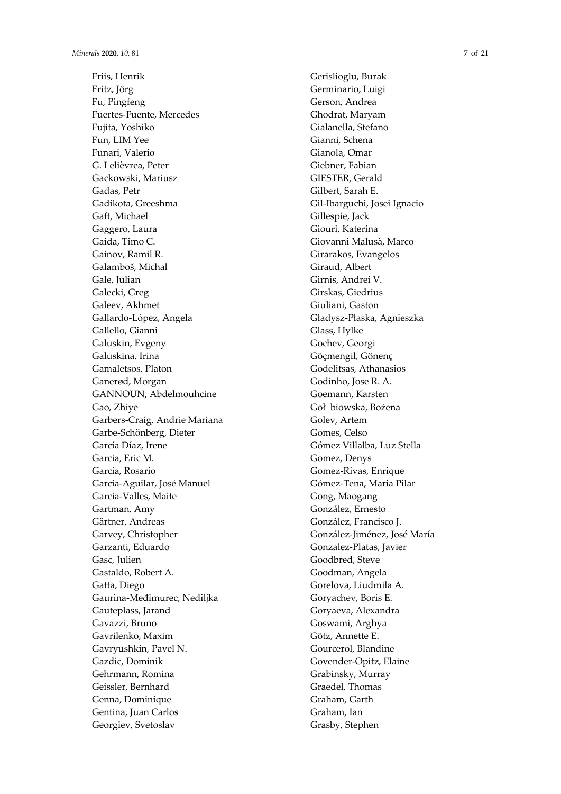Friis, Henrik Fritz, Jörg Fu, Pingfeng Fuertes-Fuente, Mercedes Fujita, Yoshiko Fun, LIM Yee Funari, Valerio G. Lelièvrea, Peter Gackowski, Mariusz Gadas, Petr Gadikota, Greeshma Gaft, Michael Gaggero, Laura Gaida, Timo C. Gainov, Ramil R. Galamboš, Michal Gale, Julian Galecki, Greg Galeev, Akhmet Gallardo-López, Angela Gallello, Gianni Galuskin, Evgeny Galuskina, Irina Gamaletsos, Platon Ganerød, Morgan GANNOUN, Abdelmouhcine Gao, Zhiye Garbers-Craig, Andrie Mariana Garbe-Schönberg, Dieter García Díaz, Irene Garcia, Eric M. Garcia, Rosario García-Aguilar, José Manuel Garcia-Valles, Maite Gartman, Amy Gärtner, Andreas Garvey, Christopher Garzanti, Eduardo Gasc, Julien Gastaldo, Robert A. Gatta, Diego Gaurina-Međimurec, Nediljka Gauteplass, Jarand Gavazzi, Bruno Gavrilenko, Maxim Gavryushkin, Pavel N. Gazdic, Dominik Gehrmann, Romina Geissler, Bernhard Genna, Dominique Gentina, Juan Carlos Georgiev, Svetoslav

Gerislioglu, Burak Germinario, Luigi Gerson, Andrea Ghodrat, Maryam Gialanella, Stefano Gianni, Schena Gianola, Omar Giebner, Fabian GIESTER, Gerald Gilbert, Sarah E. Gil-Ibarguchi, Josei Ignacio Gillespie, Jack Giouri, Katerina Giovanni Malusà, Marco Girarakos, Evangelos Giraud, Albert Girnis, Andrei V. Girskas, Giedrius Giuliani, Gaston Gładysz-Płaska, Agnieszka Glass, Hylke Gochev, Georgi Göçmengil, Gönenç Godelitsas, Athanasios Godinho, Jose R. A. Goemann, Karsten Goł biowska, Bożena Golev, Artem Gomes, Celso Gómez Villalba, Luz Stella Gomez, Denys Gomez-Rivas, Enrique Gómez-Tena, Maria Pilar Gong, Maogang González, Ernesto González, Francisco J. González-Jiménez, José María Gonzalez-Platas, Javier Goodbred, Steve Goodman, Angela Gorelova, Liudmila A. Goryachev, Boris E. Goryaeva, Alexandra Goswami, Arghya Götz, Annette E. Gourcerol, Blandine Govender-Opitz, Elaine Grabinsky, Murray Graedel, Thomas Graham, Garth Graham, Ian Grasby, Stephen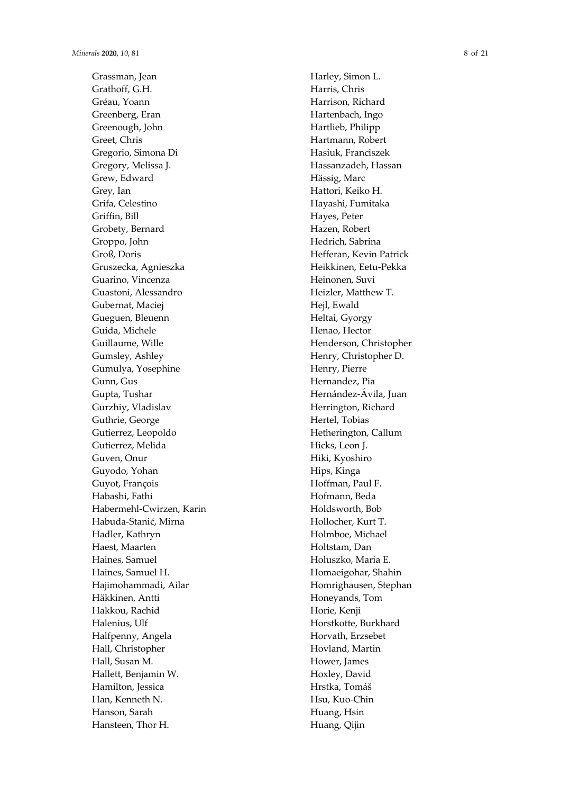Grassman, Jean Grathoff, G.H. Gréau, Yoann Greenberg, Eran Greenough, John Greet, Chris Gregorio, Simona Di Gregory, Melissa J. Grew, Edward Grey, Ian Grifa, Celestino Griffin, Bill Grobety, Bernard Groppo, John Groß, Doris Gruszecka, Agnieszka Guarino, Vincenza Guastoni, Alessandro Gubernat, Maciej Gueguen, Bleuenn Guida, Michele Guillaume, Wille Gumsley, Ashley Gumulya, Yosephine Gunn, Gus Gupta, Tushar Gurzhiy, Vladislav Guthrie, George Gutierrez, Leopoldo Gutierrez, Melida Guven, Onur Guyodo, Yohan Guyot, François Habashi, Fathi Habermehl-Cwirzen, Karin Habuda-Stani ć, Mirna Hadler, Kathryn Haest, Maarten Haines, Samuel Haines, Samuel H. Hajimohammadi, Ailar Häkkinen, Antti Hakkou, Rachid Halenius, Ulf Halfpenny, Angela Hall, Christopher Hall, Susan M. Hallett, Benjamin W. Hamilton, Jessica Han, Kenneth N. Hanson, Sarah Hansteen, Thor H.

Harley, Simon L. Harris, Chris Harrison, Richard Hartenbach, Ingo Hartlieb, Philipp Hartmann, Robert Hasiuk, Franciszek Hassanzadeh, Hassan Hässig, Marc Hattori, Keiko H. Hayashi, Fumitaka Hayes, Peter Hazen, Robert Hedrich, Sabrina Hefferan, Kevin Patrick Heikkinen, Eetu-Pekka Heinonen, Suvi Heizler, Matthew T. Hejl, Ewald Heltai, Gyorgy Henao, Hector Henderson, Christopher Henry, Christopher D. Henry, Pierre Hernandez, Pia Hernández-Ávila, Juan Herrington, Richard Hertel, Tobias Hetherington, Callum Hicks, Leon J. Hiki, Kyoshiro Hips, Kinga Hoffman, Paul F. Hofmann, Beda Holdsworth, Bob Hollocher, Kurt T. Holmboe, Michael Holtstam, Dan Holuszko, Maria E. Homaeigohar, Shahin Homrighausen, Stephan Honeyands, Tom Horie, Kenji Horstkotte, Burkhard Horvath, Erzsebet Hovland, Martin Hower, James Hoxley, David Hrstka, Tomáš Hsu, Kuo-Chin Huang, Hsin Huang, Qijin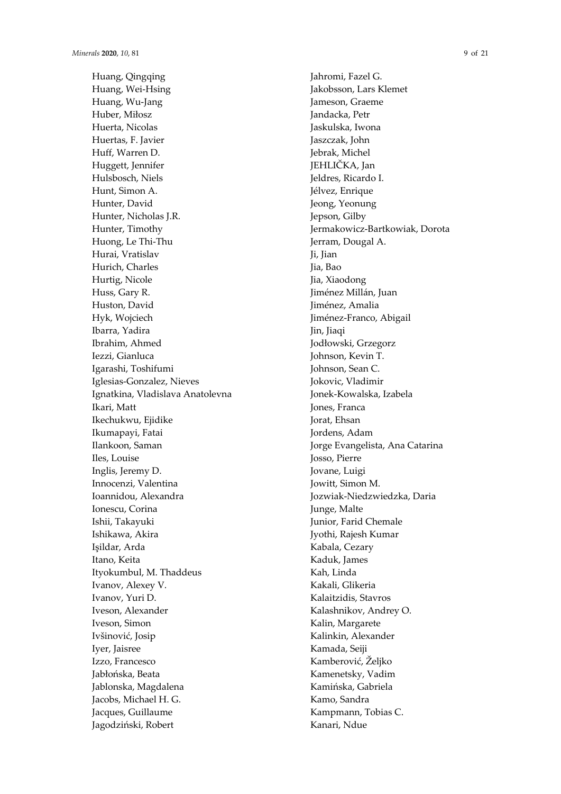Huang, Qingqing Huang, Wei-Hsing Huang, Wu-Jang Huber, Miłosz Huerta, Nicolas Huertas, F. Javier Huff, Warren D. Huggett, Jennifer Hulsbosch, Niels Hunt, Simon A. Hunter, David Hunter, Nicholas J.R. Hunter, Timothy Huong, Le Thi-Thu Hurai, Vratislav Hurich, Charles Hurtig, Nicole Huss, Gary R. Huston, David Hyk, Wojciech Ibarra, Yadira Ibrahim, Ahmed Iezzi, Gianluca Igarashi, Toshifumi Iglesias-Gonzalez, Nieves Ignatkina, Vladislava Anatolevna Ikari, Matt Ikechukwu, Ejidike Ikumapayi, Fatai Ilankoon, Saman Iles, Louise Inglis, Jeremy D. Innocenzi, Valentina Ioannidou, Alexandra Ionescu, Corina Ishii, Takayuki Ishikawa, Akira Işildar, Arda Itano, Keita Ityokumbul, M. Thaddeus Ivanov, Alexey V. Ivanov, Yuri D. Iveson, Alexander Iveson, Simon Ivšinović, Josip Iyer, Jaisree Izzo, Francesco Jabłońska, Beata Jablonska, Magdalena Jacobs, Michael H. G. Jacques, Guillaume Jagodziński, Robert

Jahromi, Fazel G. Jakobsson, Lars Klemet Jameson, Graeme Jandacka, Petr Jaskulska, Iwona Jaszczak, John Jebrak, Michel JEHLIČKA, Jan Jeldres, Ricardo I. Jélvez, Enrique Jeong, Yeonung Jepson, Gilby Jermakowicz-Bartkowiak, Dorota Jerram, Dougal A. Ji, Jian Jia, Bao Jia, Xiaodong Jiménez Millán, Juan Jiménez, Amalia Jiménez-Franco, Abigail Jin, Jiaqi Jodłowski, Grzegorz Johnson, Kevin T. Johnson, Sean C. Jokovic, Vladimir Jonek-Kowalska, Izabela Jones, Franca Jorat, Ehsan Jordens, Adam Jorge Evangelista, Ana Catarina Josso, Pierre Jovane, Luigi Jowitt, Simon M. Jozwiak-Niedzwiedzka, Daria Junge, Malte Junior, Farid Chemale Jyothi, Rajesh Kumar Kabala, Cezary Kaduk, James Kah, Linda Kakali, Glikeria Kalaitzidis, Stavros Kalashnikov, Andrey O. Kalin, Margarete Kalinkin, Alexander Kamada, Seiji Kamberović, Željko Kamenetsky, Vadim Kamińska, Gabriela Kamo, Sandra Kampmann, Tobias C. Kanari, Ndue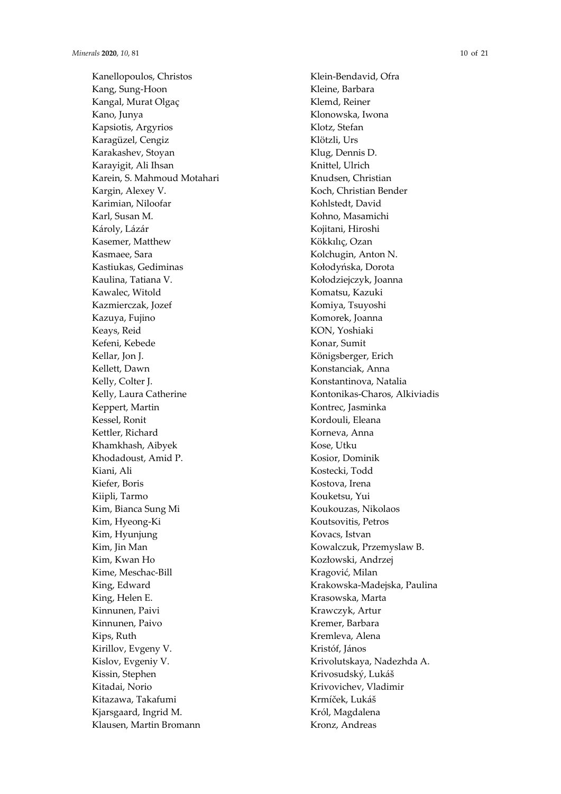Kanellopoulos, Christos Kang, Sung-Hoon Kangal, Murat Olgaç Kano, Junya Kapsiotis, Argyrios Karagüzel, Cengiz Karakashev, Stoyan Karayigit, Ali Ihsan Karein, S. Mahmoud Motahari Kargin, Alexey V. Karimian, Niloofar Karl, Susan M. Károly, Lázár Kasemer, Matthew Kasmaee, Sara Kastiukas, Gediminas Kaulina, Tatiana V. Kawalec, Witold Kazmierczak, Jozef Kazuya, Fujino Keays, Reid Kefeni, Kebede Kellar, Jon J. Kellett, Dawn Kelly, Colter J. Kelly, Laura Catherine Keppert, Martin Kessel, Ronit Kettler, Richard Khamkhash, Aibyek Khodadoust, Amid P. Kiani, Ali Kiefer, Boris Kiipli, Tarmo Kim, Bianca Sung Mi Kim, Hyeong-Ki Kim, Hyunjung Kim, Jin Man Kim, Kwan Ho Kime, Meschac-Bill King, Edward King, Helen E. Kinnunen, Paivi Kinnunen, Paivo Kips, Ruth Kirillov, Evgeny V. Kislov, Evgeniy V. Kissin, Stephen Kitadai, Norio Kitazawa, Takafumi Kjarsgaard, Ingrid M. Klausen, Martin Bromann

Klein-Bendavid, Ofra Kleine, Barbara Klemd, Reiner Klonowska, Iwona Klotz, Stefan Klötzli, Urs Klug, Dennis D. Knittel, Ulrich Knudsen, Christian Koch, Christian Bender Kohlstedt, David Kohno, Masamichi Kojitani, Hiroshi Kökkılıç, Ozan Kolchugin, Anton N. Kołodyńska, Dorota Kołodziejczyk, Joanna Komatsu, Kazuki Komiya, Tsuyoshi Komorek, Joanna KON, Yoshiaki Konar, Sumit Königsberger, Erich Konstanciak, Anna Konstantinova, Natalia Kontonikas-Charos, Alkiviadis Kontrec, Jasminka Kordouli, Eleana Korneva, Anna Kose, Utku Kosior, Dominik Kostecki, Todd Kostova, Irena Kouketsu, Yui Koukouzas, Nikolaos Koutsovitis, Petros Kovacs, Istvan Kowalczuk, Przemyslaw B. Kozłowski, Andrzej Kragović, Milan Krakowska-Madejska, Paulina Krasowska, Marta Krawczyk, Artur Kremer, Barbara Kremleva, Alena Kristóf, János Krivolutskaya, Nadezhda A. Krivosudský, Lukáš Krivovichev, Vladimir Krmíček, Lukáš Król, Magdalena Kronz, Andreas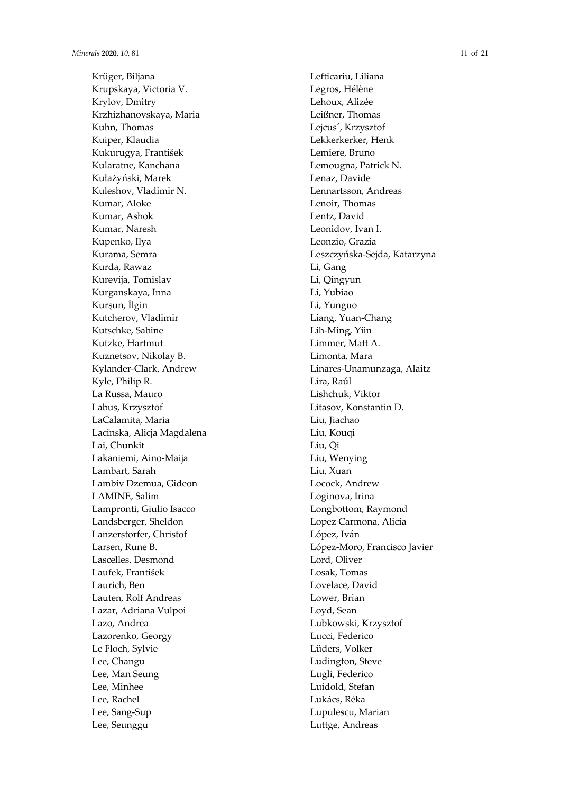Krüger, Biljana Krupskaya, Victoria V. Krylov, Dmitry Krzhizhanovskaya, Maria Kuhn, Thomas Kuiper, Klaudia Kukurugya, František Kularatne, Kanchana Ku ł a ż y ński, Marek Kuleshov, Vladimir N. Kumar, Aloke Kumar, Ashok Kumar, Naresh Kupenko, Ilya Kurama, Semra Kurda, Rawaz Kurevija, Tomislav Kurganskaya, Inna Kur şun, İlgin Kutcherov, Vladimir Kutschke, Sabine Kutzke, Hartmut Kuznetsov, Nikolay B. Kylander-Clark, Andrew Kyle, Philip R. La Russa, Mauro Labus, Krzysztof LaCalamita, Maria Lacinska, Alicja Magdalena Lai, Chunkit Lakaniemi, Aino-Maija Lambart, Sarah Lambiv Dzemua, Gideon LAMINE, Salim Lampronti, Giulio Isacco Landsberger, Sheldon Lanzerstorfer, Christof Larsen, Rune B. Lascelles, Desmond Laufek, František Laurich, Ben Lauten, Rolf Andreas Lazar, Adriana Vulpoi Lazo, Andrea Lazorenko, Georgy Le Floch, Sylvie Lee, Changu Lee, Man Seung Lee, Minhee Lee, Rachel Lee, Sang-Sup Lee, Seunggu

Lefticariu, Liliana Legros, Hélène Lehoux, Alizée Leißner, Thomas Lejcus´, Krzysztof Lekkerkerker, Henk Lemiere, Bruno Lemougna, Patrick N. Lenaz, Davide Lennartsson, Andreas Lenoir, Thomas Lentz, David Leonidov, Ivan I. Leonzio, Grazia Leszczy ńska-Sejda, Katarzyna Li, Gang Li, Qingyun Li, Yubiao Li, Yunguo Liang, Yuan-Chang Lih-Ming, Yiin Limmer, Matt A. Limonta, Mara Linares-Unamunzaga, Alaitz Lira, Raúl Lishchuk, Viktor Litasov, Konstantin D. Liu, Jiachao Liu, Kouqi Liu, Qi Liu, Wenying Liu, Xuan Locock, Andrew Loginova, Irina Longbottom, Raymond Lopez Carmona, Alicia López, Iván López-Moro, Francisco Javier Lord, Oliver Losak, Tomas Lovelace, David Lower, Brian Loyd, Sean Lubkowski, Krzysztof Lucci, Federico Lüders, Volker Ludington, Steve Lugli, Federico Luidold, Stefan Lukács, Réka Lupulescu, Marian Luttge, Andreas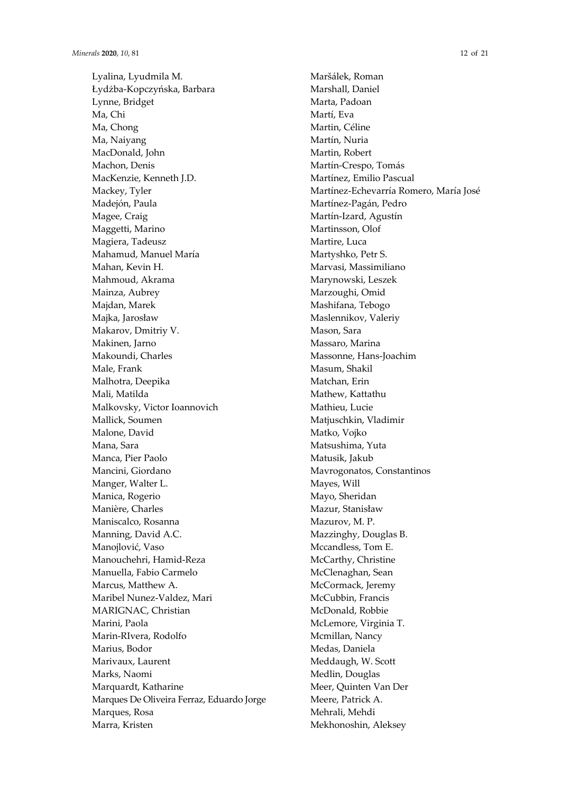Lyalina, Lyudmila M. Łydżba-Kopczyńska, Barbara Lynne, Bridget Ma, Chi Ma, Chong Ma, Naiyang MacDonald, John Machon, Denis MacKenzie, Kenneth J.D. Mackey, Tyler Madejón, Paula Magee, Craig Maggetti, Marino Magiera, Tadeusz Mahamud, Manuel María Mahan, Kevin H. Mahmoud, Akrama Mainza, Aubrey Majdan, Marek Majka, Jarosław Makarov, Dmitriy V. Makinen, Jarno Makoundi, Charles Male, Frank Malhotra, Deepika Mali, Matilda Malkovsky, Victor Ioannovich Mallick, Soumen Malone, David Mana, Sara Manca, Pier Paolo Mancini, Giordano Manger, Walter L. Manica, Rogerio Manière, Charles Maniscalco, Rosanna Manning, David A.C. Manojlović, Vaso Manouchehri, Hamid-Reza Manuella, Fabio Carmelo Marcus, Matthew A. Maribel Nunez-Valdez, Mari MARIGNAC, Christian Marini, Paola Marin-RIvera, Rodolfo Marius, Bodor Marivaux, Laurent Marks, Naomi Marquardt, Katharine Marques De Oliveira Ferraz, Eduardo Jorge Marques, Rosa Marra, Kristen

Maršálek, Roman Marshall, Daniel Marta, Padoan Martí, Eva Martin, Céline Martín, Nuria Martin, Robert Martín-Crespo, Tomás Martínez, Emilio Pascual Martínez-Echevarría Romero, María José Martínez-Pagán, Pedro Martín-Izard, Agustín Martinsson, Olof Martire, Luca Martyshko, Petr S. Marvasi, Massimiliano Marynowski, Leszek Marzoughi, Omid Mashifana, Tebogo Maslennikov, Valeriy Mason, Sara Massaro, Marina Massonne, Hans-Joachim Masum, Shakil Matchan, Erin Mathew, Kattathu Mathieu, Lucie Matjuschkin, Vladimir Matko, Vojko Matsushima, Yuta Matusik, Jakub Mavrogonatos, Constantinos Mayes, Will Mayo, Sheridan Mazur, Stanisław Mazurov, M. P. Mazzinghy, Douglas B. Mccandless, Tom E. McCarthy, Christine McClenaghan, Sean McCormack, Jeremy McCubbin, Francis McDonald, Robbie McLemore, Virginia T. Mcmillan, Nancy Medas, Daniela Meddaugh, W. Scott Medlin, Douglas Meer, Quinten Van Der Meere, Patrick A. Mehrali, Mehdi Mekhonoshin, Aleksey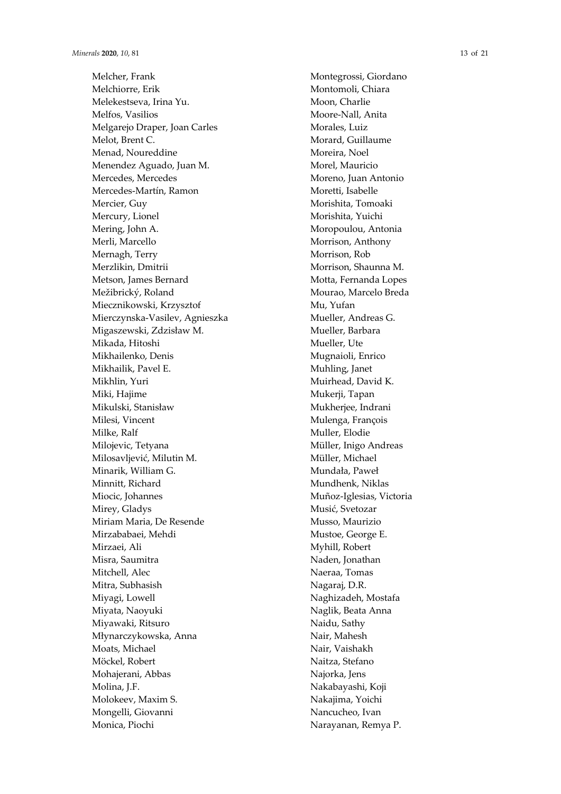Melcher, Frank Melchiorre, Erik Melekestseva, Irina Yu. Melfos, Vasilios Melgarejo Draper, Joan Carles Melot, Brent C. Menad, Noureddine Menendez Aguado, Juan M. Mercedes, Mercedes Mercedes-Martín, Ramon Mercier, Guy Mercury, Lionel Mering, John A. Merli, Marcello Mernagh, Terry Merzlikin, Dmitrii Metson, James Bernard Mežibrický, Roland Miecznikowski, Krzysztof Mierczynska-Vasilev, Agnieszka Migaszewski, Zdzis ław M. Mikada, Hitoshi Mikhailenko, Denis Mikhailik, Pavel E. Mikhlin, Yuri Miki, Hajime Mikulski, Stanis ław Milesi, Vincent Milke, Ralf Milojevic, Tetyana Milosavljevi ć, Milutin M. Minarik, William G. Minnitt, Richard Miocic, Johannes Mirey, Gladys Miriam Maria, De Resende Mirzababaei, Mehdi Mirzaei, Ali Misra, Saumitra Mitchell, Alec Mitra, Subhasish Miyagi, Lowell Miyata, Naoyuki Miyawaki, Ritsuro Młynarczykowska, Anna Moats, Michael Möckel, Robert Mohajerani, Abbas Molina, J.F. Molokeev, Maxim S. Mongelli, Giovanni Monica, Piochi

Montegrossi, Giordano Montomoli, Chiara Moon, Charlie Moore-Nall, Anita Morales, Luiz Morard, Guillaume Moreira, Noel Morel, Mauricio Moreno, Juan Antonio Moretti, Isabelle Morishita, Tomoaki Morishita, Yuichi Moropoulou, Antonia Morrison, Anthony Morrison, Rob Morrison, Shaunna M. Motta, Fernanda Lopes Mourao, Marcelo Breda Mu, Yufan Mueller, Andreas G. Mueller, Barbara Mueller, Ute Mugnaioli, Enrico Muhling, Janet Muirhead, David K. Mukerji, Tapan Mukherjee, Indrani Mulenga, François Muller, Elodie Müller, Inigo Andreas Müller, Michael Munda ła, Pawe ł Mundhenk, Niklas Muñoz-Iglesias, Victoria Musi ć, Svetozar Musso, Maurizio Mustoe, George E. Myhill, Robert Naden, Jonathan Naeraa, Tomas Nagaraj, D.R. Naghizadeh, Mostafa Naglik, Beata Anna Naidu, Sathy Nair, Mahesh Nair, Vaishakh Naitza, Stefano Najorka, Jens Nakabayashi, Koji Nakajima, Yoichi Nancucheo, Ivan Narayanan, Remya P.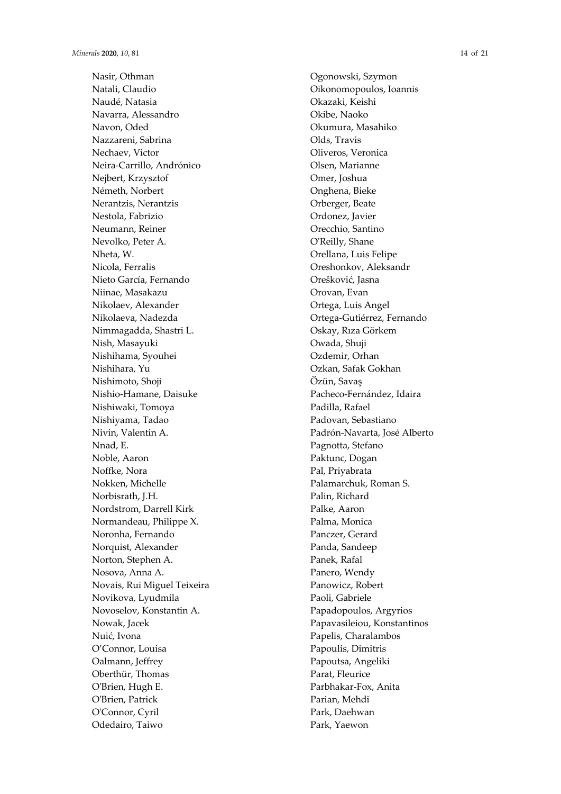Nasir, Othman Natali, Claudio Naudé, Natasia Navarra, Alessandro Navon, Oded Nazzareni, Sabrina Nechaev, Victor Neira-Carrillo, Andrónico Nejbert, Krzysztof Németh, Norbert Nerantzis, Nerantzis Nestola, Fabrizio Neumann, Reiner Nevolko, Peter A. Nheta, W. Nicola, Ferralis Nieto García, Fernando Niinae, Masakazu Nikolaev, Alexander Nikolaeva, Nadezda Nimmagadda, Shastri L. Nish, Masayuki Nishihama, Syouhei Nishihara, Yu Nishimoto, Shoji Nishio-Hamane, Daisuke Nishiwaki, Tomoya Nishiyama, Tadao Nivin, Valentin A. Nnad, E. Noble, Aaron Noffke, Nora Nokken, Michelle Norbisrath, J.H. Nordstrom, Darrell Kirk Normandeau, Philippe X. Noronha, Fernando Norquist, Alexander Norton, Stephen A. Nosova, Anna A. Novais, Rui Miguel Teixeira Novikova, Lyudmila Novoselov, Konstantin A. Nowak, Jacek Nui ć, Ivona O'Connor, Louisa Oalmann, Jeffrey Oberthür, Thomas O'Brien, Hugh E. O'Brien, Patrick O'Connor, Cyril Odedairo, Taiwo

Ogonowski, Szymon Oikonomopoulos, Ioannis Okazaki, Keishi Okibe, Naoko Okumura, Masahiko Olds, Travis Oliveros, Veronica Olsen, Marianne Omer, Joshua Onghena, Bieke Orberger, Beate Ordonez, Javier Orecchio, Santino O'Reilly, Shane Orellana, Luis Felipe Oreshonkov, Aleksandr Oreškovi ć, Jasna Orovan, Evan Ortega, Luis Angel Ortega-Gutiérrez, Fernando Oskay, R ıza Görkem Owada, Shuji Ozdemir, Orhan Ozkan, Safak Gokhan Özün, Sava ş Pacheco-Fernández, Idaira Padilla, Rafael Padovan, Sebastiano Padrón-Navarta, José Alberto Pagnotta, Stefano Paktunc, Dogan Pal, Priyabrata Palamarchuk, Roman S. Palin, Richard Palke, Aaron Palma, Monica Panczer, Gerard Panda, Sandeep Panek, Rafal Panero, Wendy Panowicz, Robert Paoli, Gabriele Papadopoulos, Argyrios Papavasileiou, Konstantinos Papelis, Charalambos Papoulis, Dimitris Papoutsa, Angeliki Parat, Fleurice Parbhakar-Fox, Anita Parian, Mehdi Park, Daehwan Park, Yaewon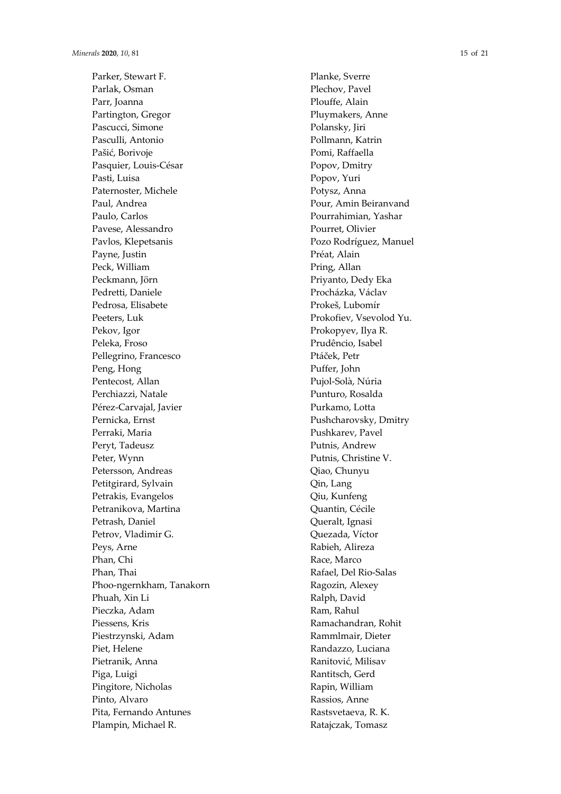Parker, Stewart F. Parlak, Osman Parr, Joanna Partington, Gregor Pascucci, Simone Pasculli, Antonio Paši ć, Borivoje Pasquier, Louis-César Pasti, Luisa Paternoster, Michele Paul, Andrea Paulo, Carlos Pavese, Alessandro Pavlos, Klepetsanis Payne, Justin Peck, William Peckmann, Jörn Pedretti, Daniele Pedrosa, Elisabete Peeters, Luk Pekov, Igor Peleka, Froso Pellegrino, Francesco Peng, Hong Pentecost, Allan Perchiazzi, Natale Pérez-Carvajal, Javier Pernicka, Ernst Perraki, Maria Peryt, Tadeusz Peter, Wynn Petersson, Andreas Petitgirard, Sylvain Petrakis, Evangelos Petranikova, Martina Petrash, Daniel Petrov, Vladimir G. Peys, Arne Phan, Chi Phan, Thai Phoo-ngernkham, Tanakorn Phuah, Xin Li Pieczka, Adam Piessens, Kris Piestrzynski, Adam Piet, Helene Pietranik, Anna Piga, Luigi Pingitore, Nicholas Pinto, Alvaro Pita, Fernando Antunes Plampin, Michael R.

Planke, Sverre Plechov, Pavel Plouffe, Alain Pluymakers, Anne Polansky, Jiri Pollmann, Katrin Pomi, Raffaella Popov, Dmitry Popov, Yuri Potysz, Anna Pour, Amin Beiranvand Pourrahimian, Yashar Pourret, Olivier Pozo Rodríguez, Manuel Préat, Alain Pring, Allan Priyanto, Dedy Eka Procházka, Václav Prokeš, Lubomír Prokofiev, Vsevolod Yu. Prokopyev, Ilya R. Prudêncio, Isabel Ptá ček, Petr Puffer, John Pujol-Solà, Núria Punturo, Rosalda Purkamo, Lotta Pushcharovsky, Dmitry Pushkarev, Pavel Putnis, Andrew Putnis, Christine V. Qiao, Chunyu Qin, Lang Qiu, Kunfeng Quantin, Cécile Queralt, Ignasi Quezada, Víctor Rabieh, Alireza Race, Marco Rafael, Del Rio-Salas Ragozin, Alexey Ralph, David Ram, Rahul Ramachandran, Rohit Rammlmair, Dieter Randazzo, Luciana Ranitovi ć, Milisav Rantitsch, Gerd Rapin, William Rassios, Anne Rastsvetaeva, R. K. Ratajczak, Tomasz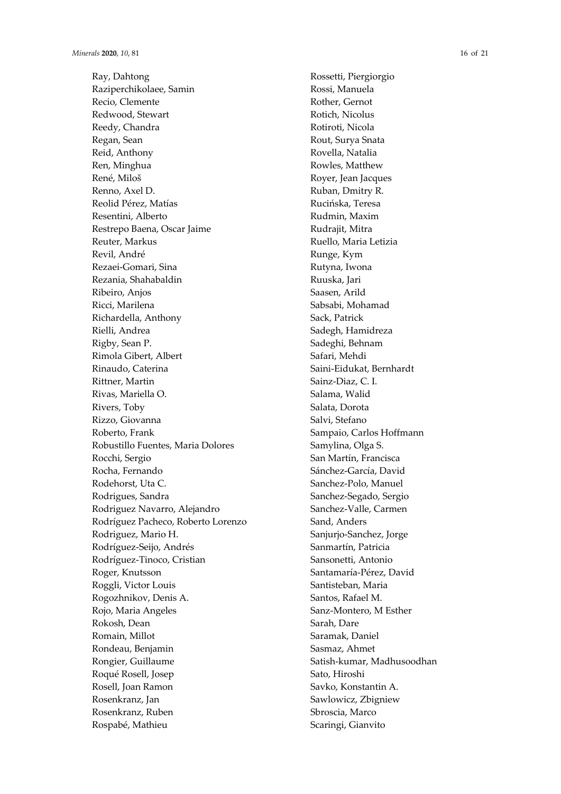Ray, Dahtong Raziperchikolaee, Samin Recio, Clemente Redwood, Stewart Reedy, Chandra Regan, Sean Reid, Anthony Ren, Minghua René, Miloš Renno, Axel D. Reolid Pérez, Matías Resentini, Alberto Restrepo Baena, Oscar Jaime Reuter, Markus Revil, André Rezaei-Gomari, Sina Rezania, Shahabaldin Ribeiro, Anjos Ricci, Marilena Richardella, Anthony Rielli, Andrea Rigby, Sean P. Rimola Gibert, Albert Rinaudo, Caterina Rittner, Martin Rivas, Mariella O. Rivers, Toby Rizzo, Giovanna Roberto, Frank Robustillo Fuentes, Maria Dolores Rocchi, Sergio Rocha, Fernando Rodehorst, Uta C. Rodrigues, Sandra Rodriguez Navarro, Alejandro Rodríguez Pacheco, Roberto Lorenzo Rodriguez, Mario H. Rodríguez-Seijo, Andrés Rodríguez-Tinoco, Cristian Roger, Knutsson Roggli, Victor Louis Rogozhnikov, Denis A. Rojo, Maria Angeles Rokosh, Dean Romain, Millot Rondeau, Benjamin Rongier, Guillaume Roqué Rosell, Josep Rosell, Joan Ramon Rosenkranz, Jan Rosenkranz, Ruben Rospabé, Mathieu

Rossetti, Piergiorgio Rossi, Manuela Rother, Gernot Rotich, Nicolus Rotiroti, Nicola Rout, Surya Snata Rovella, Natalia Rowles, Matthew Royer, Jean Jacques Ruban, Dmitry R. Rucińska, Teresa Rudmin, Maxim Rudrajit, Mitra Ruello, Maria Letizia Runge, Kym Rutyna, Iwona Ruuska, Jari Saasen, Arild Sabsabi, Mohamad Sack, Patrick Sadegh, Hamidreza Sadeghi, Behnam Safari, Mehdi Saini-Eidukat, Bernhardt Sainz-Diaz, C. I. Salama, Walid Salata, Dorota Salvi, Stefano Sampaio, Carlos Hoffmann Samylina, Olga S. San Martín, Francisca Sánchez-García, David Sanchez-Polo, Manuel Sanchez-Segado, Sergio Sanchez-Valle, Carmen Sand, Anders Sanjurjo-Sanchez, Jorge Sanmartín, Patricia Sansonetti, Antonio Santamaría-Pérez, David Santisteban, Maria Santos, Rafael M. Sanz-Montero, M Esther Sarah, Dare Saramak, Daniel Sasmaz, Ahmet Satish-kumar, Madhusoodhan Sato, Hiroshi Savko, Konstantin A. Sawlowicz, Zbigniew Sbroscia, Marco Scaringi, Gianvito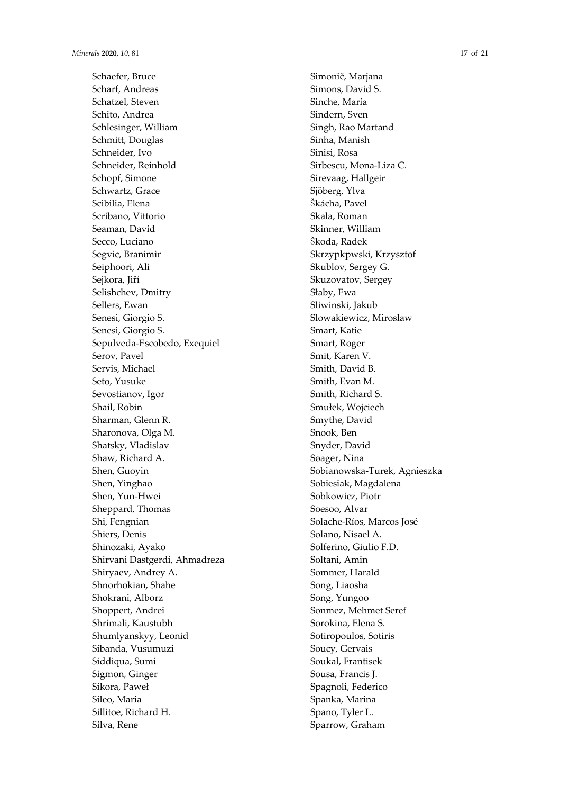Schaefer, Bruce Scharf, Andreas Schatzel, Steven Schito, Andrea Schlesinger, William Schmitt, Douglas Schneider, Ivo Schneider, Reinhold Schopf, Simone Schwartz, Grace Scibilia, Elena Scribano, Vittorio Seaman, David Secco, Luciano Segvic, Branimir Seiphoori, Ali Sejkora, Jiří Selishchev, Dmitry Sellers, Ewan Senesi, Giorgio S. Senesi, Giorgio S. Sepulveda-Escobedo, Exequiel Serov, Pavel Servis, Michael Seto, Yusuke Sevostianov, Igor Shail, Robin Sharman, Glenn R. Sharonova, Olga M. Shatsky, Vladislav Shaw, Richard A. Shen, Guoyin Shen, Yinghao Shen, Yun-Hwei Sheppard, Thomas Shi, Fengnian Shiers, Denis Shinozaki, Ayako Shirvani Dastgerdi, Ahmadreza Shiryaev, Andrey A. Shnorhokian, Shahe Shokrani, Alborz Shoppert, Andrei Shrimali, Kaustubh Shumlyanskyy, Leonid Sibanda, Vusumuzi Siddiqua, Sumi Sigmon, Ginger Sikora, Paweł Sileo, Maria Sillitoe, Richard H. Silva, Rene

Simonič, Marjana Simons, David S. Sinche, María Sindern, Sven Singh, Rao Martand Sinha, Manish Sinisi, Rosa Sirbescu, Mona-Liza C. Sirevaag, Hallgeir Sjöberg, Ylva Škácha, Pavel Skala, Roman Skinner, William Škoda, Radek Skrzypkpwski, Krzysztof Skublov, Sergey G. Skuzovatov, Sergey Słaby, Ewa Sliwinski, Jakub Slowakiewicz, Miroslaw Smart, Katie Smart, Roger Smit, Karen V. Smith, David B. Smith, Evan M. Smith, Richard S. Smułek, Wojciech Smythe, David Snook, Ben Snyder, David Søager, Nina Sobianowska-Turek, Agnieszka Sobiesiak, Magdalena Sobkowicz, Piotr Soesoo, Alvar Solache-Ríos, Marcos José Solano, Nisael A. Solferino, Giulio F.D. Soltani, Amin Sommer, Harald Song, Liaosha Song, Yungoo Sonmez, Mehmet Seref Sorokina, Elena S. Sotiropoulos, Sotiris Soucy, Gervais Soukal, Frantisek Sousa, Francis J. Spagnoli, Federico Spanka, Marina Spano, Tyler L. Sparrow, Graham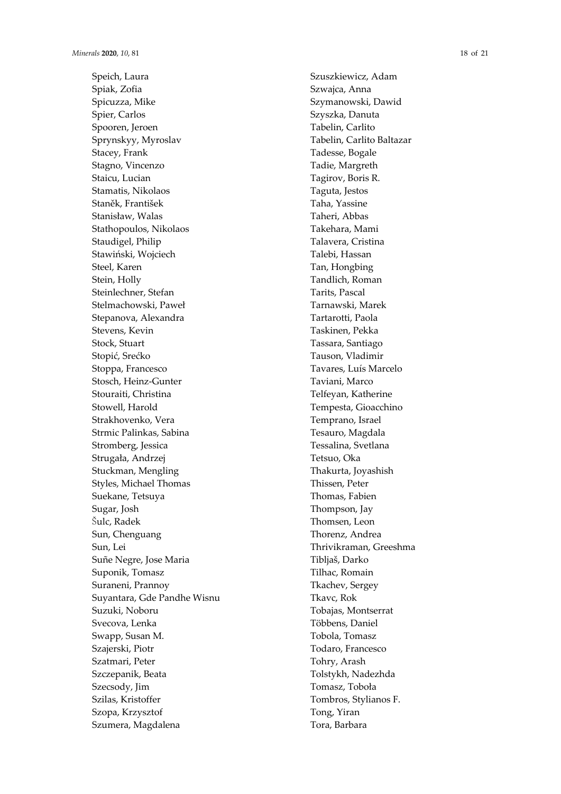Speich, Laura Spiak, Zofia Spicuzza, Mike Spier, Carlos Spooren, Jeroen Sprynskyy, Myroslav Stacey, Frank Stagno, Vincenzo Staicu, Lucian Stamatis, Nikolaos Stan ěk, František Stanis ław, Walas Stathopoulos, Nikolaos Staudigel, Philip Stawi ński, Wojciech Steel, Karen Stein, Holly Steinlechner, Stefan Stelmachowski, Pawe ł Stepanova, Alexandra Stevens, Kevin Stock, Stuart Stopi ć, Sre ćko Stoppa, Francesco Stosch, Heinz-Gunter Stouraiti, Christina Stowell, Harold Strakhovenko, Vera Strmic Palinkas, Sabina Stromberg, Jessica Struga ła, Andrzej Stuckman, Mengling Styles, Michael Thomas Suekane, Tetsuya Sugar, Josh Šulc, Radek Sun, Chenguang Sun, Lei Suñe Negre, Jose Maria Suponik, Tomasz Suraneni, Prannoy Suyantara, Gde Pandhe Wisnu Suzuki, Noboru Svecova, Lenka Swapp, Susan M. Szajerski, Piotr Szatmari, Peter Szczepanik, Beata Szecsody, Jim Szilas, Kristoffer Szopa, Krzysztof Szumera, Magdalena

Szuszkiewicz, Adam Szwajca, Anna Szymanowski, Dawid Szyszka, Danuta Tabelin, Carlito Tabelin, Carlito Baltazar Tadesse, Bogale Tadie, Margreth Tagirov, Boris R. Taguta, Jestos Taha, Yassine Taheri, Abbas Takehara, Mami Talavera, Cristina Talebi, Hassan Tan, Hongbing Tandlich, Roman Tarits, Pascal Tarnawski, Marek Tartarotti, Paola Taskinen, Pekka Tassara, Santiago Tauson, Vladimir Tavares, Luís Marcelo Taviani, Marco Telfeyan, Katherine Tempesta, Gioacchino Temprano, Israel Tesauro, Magdala Tessalina, Svetlana Tetsuo, Oka Thakurta, Joyashish Thissen, Peter Thomas, Fabien Thompson, Jay Thomsen, Leon Thorenz, Andrea Thrivikraman, Greeshma Tibljaš, Darko Tilhac, Romain Tkachev, Sergey Tkavc, Rok Tobajas, Montserrat Többens, Daniel Tobola, Tomasz Todaro, Francesco Tohry, Arash Tolstykh, Nadezhda Tomasz, Tobo ła Tombros, Stylianos F. Tong, Yiran Tora, Barbara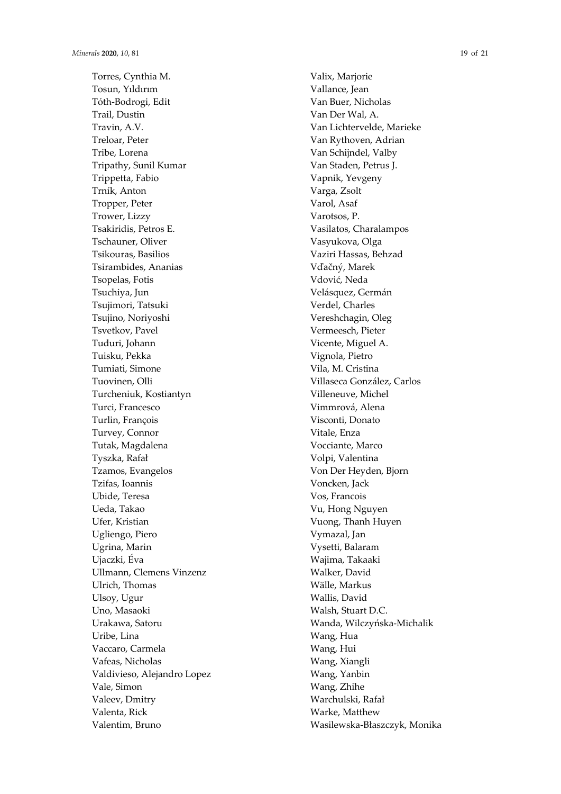Torres, Cynthia M. Tosun, Yıldırım Tóth-Bodrogi, Edit Trail, Dustin Travin, A.V. Treloar, Peter Tribe, Lorena Tripathy, Sunil Kumar Trippetta, Fabio Trník, Anton Tropper, Peter Trower, Lizzy Tsakiridis, Petros E. Tschauner, Oliver Tsikouras, Basilios Tsirambides, Ananias Tsopelas, Fotis Tsuchiya, Jun Tsujimori, Tatsuki Tsujino, Noriyoshi Tsvetkov, Pavel Tuduri, Johann Tuisku, Pekka Tumiati, Simone Tuovinen, Olli Turcheniuk, Kostiantyn Turci, Francesco Turlin, François Turvey, Connor Tutak, Magdalena Tyszka, Rafa ł Tzamos, Evangelos Tzifas, Ioannis Ubide, Teresa Ueda, Takao Ufer, Kristian Ugliengo, Piero Ugrina, Marin Ujaczki, Éva Ullmann, Clemens Vinzenz Ulrich, Thomas Ulsoy, Ugur Uno, Masaoki Urakawa, Satoru Uribe, Lina Vaccaro, Carmela Vafeas, Nicholas Valdivieso, Alejandro Lopez Vale, Simon Valeev, Dmitry Valenta, Rick Valentim, Bruno

Valix, Marjorie Vallance, Jean Van Buer, Nicholas Van Der Wal, A. Van Lichtervelde, Marieke Van Rythoven, Adrian Van Schijndel, Valby Van Staden, Petrus J. Vapnik, Yevgeny Varga, Zsolt Varol, Asaf Varotsos, P. Vasilatos, Charalampos Vasyukova, Olga Vaziri Hassas, Behzad Vďačný, Marek Vdovi ć, Neda Velásquez, Germán Verdel, Charles Vereshchagin, Oleg Vermeesch, Pieter Vicente, Miguel A. Vignola, Pietro Vila, M. Cristina Villaseca González, Carlos Villeneuve, Michel Vimmrová, Alena Visconti, Donato Vitale, Enza Vocciante, Marco Volpi, Valentina Von Der Heyden, Bjorn Voncken, Jack Vos, Francois Vu, Hong Nguyen Vuong, Thanh Huyen Vymazal, Jan Vysetti, Balaram Wajima, Takaaki Walker, David Wälle, Markus Wallis, David Walsh, Stuart D.C. Wanda, Wilczy ńska-Michalik Wang, Hua Wang, Hui Wang, Xiangli Wang, Yanbin Wang, Zhihe Warchulski, Rafa ł Warke, Matthew Wasilewska-B łaszczyk, Monika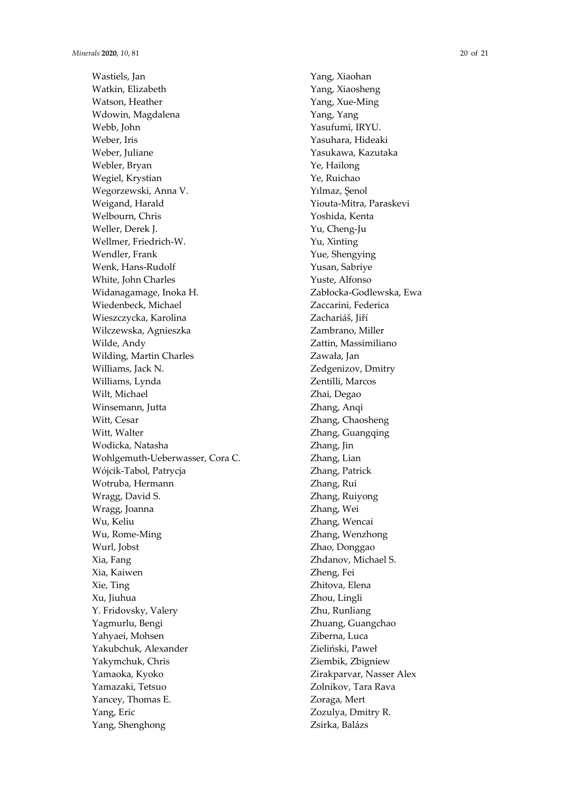Wastiels, Jan Watkin, Elizabeth Watson, Heather Wdowin, Magdalena Webb, John Weber, Iris Weber, Juliane Webler, Bryan Wegiel, Krystian Wegorzewski, Anna V. Weigand, Harald Welbourn, Chris Weller, Derek J. Wellmer, Friedrich-W. Wendler, Frank Wenk, Hans-Rudolf White, John Charles Widanagamage, Inoka H. Wiedenbeck, Michael Wieszczycka, Karolina Wilczewska, Agnieszka Wilde, Andy Wilding, Martin Charles Williams, Jack N. Williams, Lynda Wilt, Michael Winsemann, Jutta Witt, Cesar Witt, Walter Wodicka, Natasha Wohlgemuth-Ueberwasser, Cora C. Wójcik-Tabol, Patrycja Wotruba, Hermann Wragg, David S. Wragg, Joanna Wu, Keliu Wu, Rome-Ming Wurl, Jobst Xia, Fang Xia, Kaiwen Xie, Ting Xu, Jiuhua Y. Fridovsky, Valery Yagmurlu, Bengi Yahyaei, Mohsen Yakubchuk, Alexander Yakymchuk, Chris Yamaoka, Kyoko Yamazaki, Tetsuo Yancey, Thomas E. Yang, Eric Yang, Shenghong

Yang, Xiaohan Yang, Xiaosheng Yang, Xue-Ming Yang, Yang Yasufumi, IRYU. Yasuhara, Hideaki Yasukawa, Kazutaka Ye, Hailong Ye, Ruichao Yılmaz, Şenol Yiouta-Mitra, Paraskevi Yoshida, Kenta Yu, Cheng-Ju Yu, Xinting Yue, Shengying Yusan, Sabriye Yuste, Alfonso Zabłocka-Godlewska, Ewa Zaccarini, Federica Zachariáš, Jiří Zambrano, Miller Zattin, Massimiliano Zawała, Jan Zedgenizov, Dmitry Zentilli, Marcos Zhai, Degao Zhang, Anqi Zhang, Chaosheng Zhang, Guangqing Zhang, Jin Zhang, Lian Zhang, Patrick Zhang, Rui Zhang, Ruiyong Zhang, Wei Zhang, Wencai Zhang, Wenzhong Zhao, Donggao Zhdanov, Michael S. Zheng, Fei Zhitova, Elena Zhou, Lingli Zhu, Runliang Zhuang, Guangchao Ziberna, Luca Zieliński, Paweł Ziembik, Zbigniew Zirakparvar, Nasser Alex Zolnikov, Tara Rava Zoraga, Mert Zozulya, Dmitry R. Zsirka, Balázs